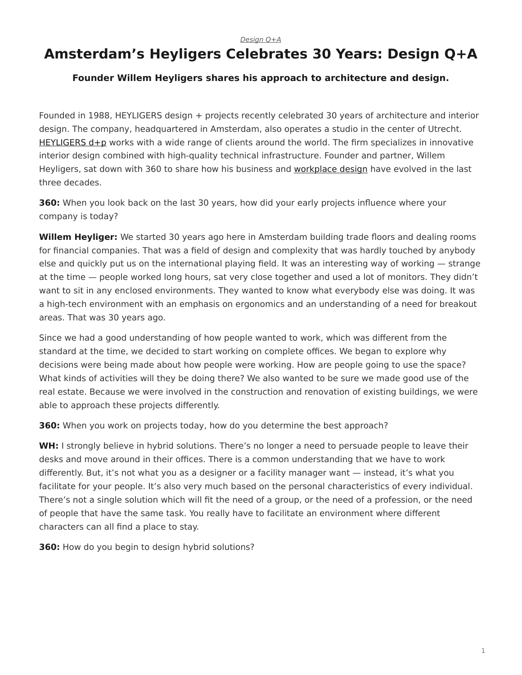## *[Design Q+A](https://www.steelcase.com/research/topics/design-q-a/)*

## <span id="page-0-0"></span>**Amsterdam's Heyligers Celebrates 30 Years: Design Q+A**

## **Founder Willem Heyligers shares his approach to architecture and design.**

Founded in 1988, HEYLIGERS design + projects recently celebrated 30 years of architecture and interior design. The company, headquartered in Amsterdam, also operates a studio in the center of Utrecht. [HEYLIGERS d+p](http://h-dp.nl/en/) works with a wide range of clients around the world. The firm specializes in innovative interior design combined with high-quality technical infrastructure. Founder and partner, Willem Heyligers, sat down with 360 to share how his business and [workplace design](https://www.steelcase.com/research/articles/topics/workplace/seven-emerging-workplace-design-influences-in-2018/) have evolved in the last three decades.

**360:** When you look back on the last 30 years, how did your early projects influence where your company is today?

**Willem Heyliger:** We started 30 years ago here in Amsterdam building trade floors and dealing rooms for financial companies. That was a field of design and complexity that was hardly touched by anybody else and quickly put us on the international playing field. It was an interesting way of working — strange at the time — people worked long hours, sat very close together and used a lot of monitors. They didn't want to sit in any enclosed environments. They wanted to know what everybody else was doing. It was a high-tech environment with an emphasis on ergonomics and an understanding of a need for breakout areas. That was 30 years ago.

Since we had a good understanding of how people wanted to work, which was different from the standard at the time, we decided to start working on complete offices. We began to explore why decisions were being made about how people were working. How are people going to use the space? What kinds of activities will they be doing there? We also wanted to be sure we made good use of the real estate. Because we were involved in the construction and renovation of existing buildings, we were able to approach these projects differently.

**360:** When you work on projects today, how do you determine the best approach?

**WH:** I strongly believe in hybrid solutions. There's no longer a need to persuade people to leave their desks and move around in their offices. There is a common understanding that we have to work differently. But, it's not what you as a designer or a facility manager want — instead, it's what you facilitate for your people. It's also very much based on the personal characteristics of every individual. There's not a single solution which will fit the need of a group, or the need of a profession, or the need of people that have the same task. You really have to facilitate an environment where different characters can all find a place to stay.

**360:** How do you begin to design hybrid solutions?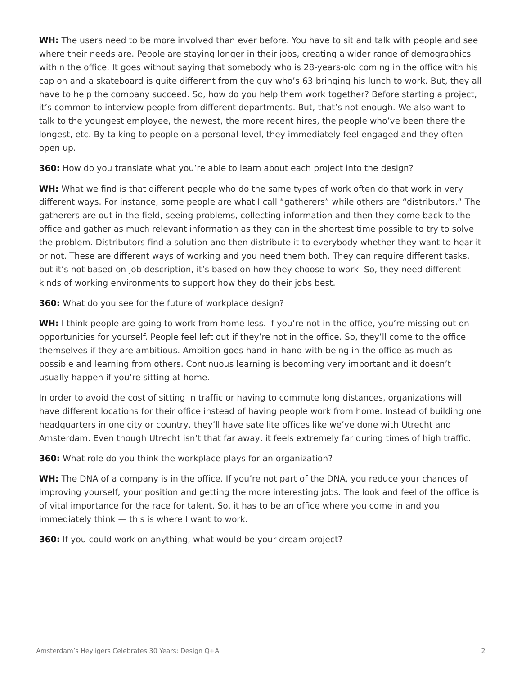**WH:** The users need to be more involved than ever before. You have to sit and talk with people and see where their needs are. People are staying longer in their jobs, creating a wider range of demographics within the office. It goes without saying that somebody who is 28-years-old coming in the office with his cap on and a skateboard is quite different from the guy who's 63 bringing his lunch to work. But, they all have to help the company succeed. So, how do you help them work together? Before starting a project, it's common to interview people from different departments. But, that's not enough. We also want to talk to the youngest employee, the newest, the more recent hires, the people who've been there the longest, etc. By talking to people on a personal level, they immediately feel engaged and they often open up.

**360:** How do you translate what you're able to learn about each project into the design?

**WH:** What we find is that different people who do the same types of work often do that work in very different ways. For instance, some people are what I call "gatherers" while others are "distributors." The gatherers are out in the field, seeing problems, collecting information and then they come back to the office and gather as much relevant information as they can in the shortest time possible to try to solve the problem. Distributors find a solution and then distribute it to everybody whether they want to hear it or not. These are different ways of working and you need them both. They can require different tasks, but it's not based on job description, it's based on how they choose to work. So, they need different kinds of working environments to support how they do their jobs best.

**360:** What do you see for the future of workplace design?

WH: I think people are going to work from home less. If you're not in the office, you're missing out on opportunities for yourself. People feel left out if they're not in the office. So, they'll come to the office themselves if they are ambitious. Ambition goes hand-in-hand with being in the office as much as possible and learning from others. Continuous learning is becoming very important and it doesn't usually happen if you're sitting at home.

In order to avoid the cost of sitting in traffic or having to commute long distances, organizations will have different locations for their office instead of having people work from home. Instead of building one headquarters in one city or country, they'll have satellite offices like we've done with Utrecht and Amsterdam. Even though Utrecht isn't that far away, it feels extremely far during times of high traffic.

**360:** What role do you think the workplace plays for an organization?

**WH:** The DNA of a company is in the office. If you're not part of the DNA, you reduce your chances of improving yourself, your position and getting the more interesting jobs. The look and feel of the office is of vital importance for the race for talent. So, it has to be an office where you come in and you immediately think — this is where I want to work.

**360:** If you could work on anything, what would be your dream project?